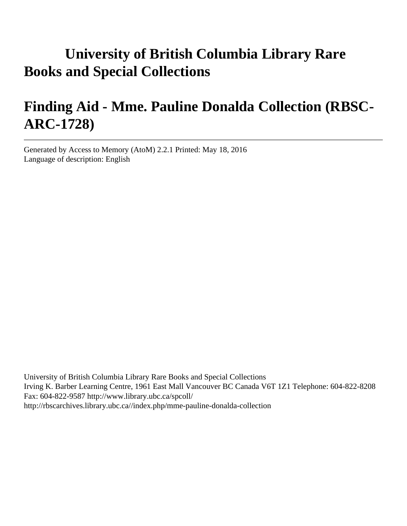# **University of British Columbia Library Rare Books and Special Collections**

# **Finding Aid - Mme. Pauline Donalda Collection (RBSC-ARC-1728)**

Generated by Access to Memory (AtoM) 2.2.1 Printed: May 18, 2016 Language of description: English

University of British Columbia Library Rare Books and Special Collections Irving K. Barber Learning Centre, 1961 East Mall Vancouver BC Canada V6T 1Z1 Telephone: 604-822-8208 Fax: 604-822-9587 http://www.library.ubc.ca/spcoll/ http://rbscarchives.library.ubc.ca//index.php/mme-pauline-donalda-collection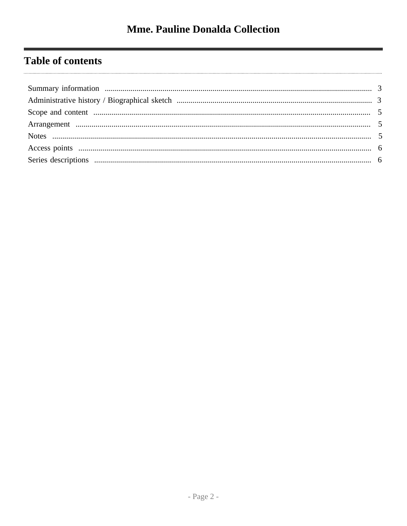## **Table of contents**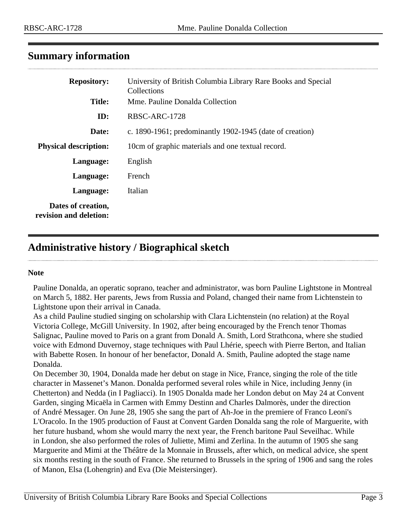#### <span id="page-2-0"></span>**Summary information**

| <b>Repository:</b>                           | University of British Columbia Library Rare Books and Special<br>Collections |  |  |
|----------------------------------------------|------------------------------------------------------------------------------|--|--|
| <b>Title:</b>                                | Mme. Pauline Donalda Collection                                              |  |  |
| ID:                                          | RBSC-ARC-1728                                                                |  |  |
| Date:                                        | c. 1890-1961; predominantly 1902-1945 (date of creation)                     |  |  |
| <b>Physical description:</b>                 | 10cm of graphic materials and one textual record.                            |  |  |
| Language:                                    | English                                                                      |  |  |
| Language:                                    | French                                                                       |  |  |
| Language:                                    | Italian                                                                      |  |  |
| Dates of creation,<br>revision and deletion: |                                                                              |  |  |

## <span id="page-2-1"></span>**Administrative history / Biographical sketch**

#### **Note**

Pauline Donalda, an operatic soprano, teacher and administrator, was born Pauline Lightstone in Montreal on March 5, 1882. Her parents, Jews from Russia and Poland, changed their name from Lichtenstein to Lightstone upon their arrival in Canada.

As a child Pauline studied singing on scholarship with Clara Lichtenstein (no relation) at the Royal Victoria College, McGill University. In 1902, after being encouraged by the French tenor Thomas Salignac, Pauline moved to Paris on a grant from Donald A. Smith, Lord Strathcona, where she studied voice with Edmond Duvernoy, stage techniques with Paul Lhérie, speech with Pierre Berton, and Italian with Babette Rosen. In honour of her benefactor, Donald A. Smith, Pauline adopted the stage name Donalda.

On December 30, 1904, Donalda made her debut on stage in Nice, France, singing the role of the title character in Massenet's Manon. Donalda performed several roles while in Nice, including Jenny (in Chetterton) and Nedda (in I Pagliacci). In 1905 Donalda made her London debut on May 24 at Convent Garden, singing Micaëla in Carmen with Emmy Destinn and Charles Dalmorès, under the direction of André Messager. On June 28, 1905 she sang the part of Ah-Joe in the premiere of Franco Leoni's L'Oracolo. In the 1905 production of Faust at Convent Garden Donalda sang the role of Marguerite, with her future husband, whom she would marry the next year, the French baritone Paul Seveilhac. While in London, she also performed the roles of Juliette, Mimi and Zerlina. In the autumn of 1905 she sang Marguerite and Mimi at the Théâtre de la Monnaie in Brussels, after which, on medical advice, she spent six months resting in the south of France. She returned to Brussels in the spring of 1906 and sang the roles of Manon, Elsa (Lohengrin) and Eva (Die Meistersinger).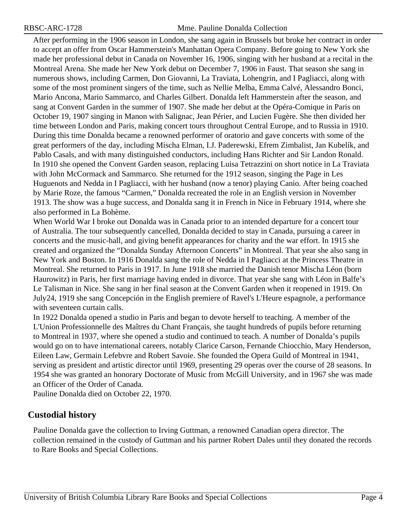After performing in the 1906 season in London, she sang again in Brussels but broke her contract in order to accept an offer from Oscar Hammerstein's Manhattan Opera Company. Before going to New York she made her professional debut in Canada on November 16, 1906, singing with her husband at a recital in the Montreal Arena. She made her New York debut on December 7, 1906 in Faust. That season she sang in numerous shows, including Carmen, Don Giovanni, La Traviata, Lohengrin, and I Pagliacci, along with some of the most prominent singers of the time, such as Nellie Melba, Emma Calvé, Alessandro Bonci, Mario Ancona, Mario Sammarco, and Charles Gilbert. Donalda left Hammerstein after the season, and sang at Convent Garden in the summer of 1907. She made her debut at the Opéra-Comique in Paris on October 19, 1907 singing in Manon with Salignac, Jean Périer, and Lucien Fugère. She then divided her time between London and Paris, making concert tours throughout Central Europe, and to Russia in 1910. During this time Donalda became a renowned performer of oratorio and gave concerts with some of the great performers of the day, including Mischa Elman, I.J. Paderewski, Efrem Zimbalist, Jan Kubelík, and Pablo Casals, and with many distinguished conductors, including Hans Richter and Sir Landon Ronald. In 1910 she opened the Convent Garden season, replacing Luisa Tetrazzini on short notice in La Traviata with John McCormack and Sammarco. She returned for the 1912 season, singing the Page in Les Huguenots and Nedda in I Pagliacci, with her husband (now a tenor) playing Canio. After being coached by Marie Roze, the famous "Carmen," Donalda recreated the role in an English version in November 1913. The show was a huge success, and Donalda sang it in French in Nice in February 1914, where she also performed in La Bohème.

When World War I broke out Donalda was in Canada prior to an intended departure for a concert tour of Australia. The tour subsequently cancelled, Donalda decided to stay in Canada, pursuing a career in concerts and the music-hall, and giving benefit appearances for charity and the war effort. In 1915 she created and organized the "Donalda Sunday Afternoon Concerts" in Montreal. That year she also sang in New York and Boston. In 1916 Donalda sang the role of Nedda in I Pagliacci at the Princess Theatre in Montreal. She returned to Paris in 1917. In June 1918 she married the Danish tenor Mischa Léon (born Haurowitz) in Paris, her first marriage having ended in divorce. That year she sang with Léon in Balfe's Le Talisman in Nice. She sang in her final season at the Convent Garden when it reopened in 1919. On July24, 1919 she sang Concepción in the English premiere of Ravel's L'Heure espagnole, a performance with seventeen curtain calls.

In 1922 Donalda opened a studio in Paris and began to devote herself to teaching. A member of the L'Union Professionnelle des Maîtres du Chant Français, she taught hundreds of pupils before returning to Montreal in 1937, where she opened a studio and continued to teach. A number of Donalda's pupils would go on to have international careers, notably Clarice Carson, Fernande Chiocchio, Mary Henderson, Eileen Law, Germain Lefebvre and Robert Savoie. She founded the Opera Guild of Montreal in 1941, serving as president and artistic director until 1969, presenting 29 operas over the course of 28 seasons. In 1954 she was granted an honorary Doctorate of Music from McGill University, and in 1967 she was made an Officer of the Order of Canada.

Pauline Donalda died on October 22, 1970.

#### **Custodial history**

Pauline Donalda gave the collection to Irving Guttman, a renowned Canadian opera director. The collection remained in the custody of Guttman and his partner Robert Dales until they donated the records to Rare Books and Special Collections.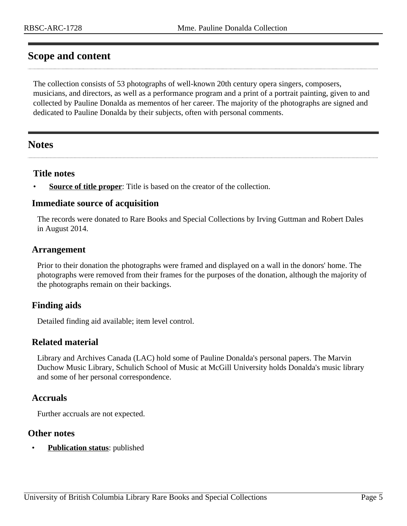#### <span id="page-4-0"></span>**Scope and content**

The collection consists of 53 photographs of well-known 20th century opera singers, composers, musicians, and directors, as well as a performance program and a print of a portrait painting, given to and collected by Pauline Donalda as mementos of her career. The majority of the photographs are signed and dedicated to Pauline Donalda by their subjects, often with personal comments.

#### <span id="page-4-2"></span>**Notes**

#### **Title notes**

**Source of title proper**: Title is based on the creator of the collection.

#### **Immediate source of acquisition**

The records were donated to Rare Books and Special Collections by Irving Guttman and Robert Dales in August 2014.

#### <span id="page-4-1"></span>**Arrangement**

Prior to their donation the photographs were framed and displayed on a wall in the donors' home. The photographs were removed from their frames for the purposes of the donation, although the majority of the photographs remain on their backings.

#### **Finding aids**

Detailed finding aid available; item level control.

#### **Related material**

Library and Archives Canada (LAC) hold some of Pauline Donalda's personal papers. The Marvin Duchow Music Library, Schulich School of Music at McGill University holds Donalda's music library and some of her personal correspondence.

#### **Accruals**

Further accruals are not expected.

#### **Other notes**

**Publication status:** published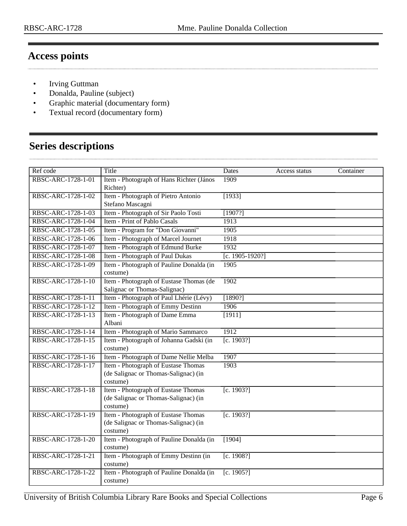### <span id="page-5-0"></span>**Access points**

. . . . . .

- Irving Guttman
- Donalda, Pauline (subject)
- Graphic material (documentary form)
- Textual record (documentary form)

## <span id="page-5-1"></span>**Series descriptions**

| Ref code           | Title                                                                                   | Dates           | Access status | Container |
|--------------------|-----------------------------------------------------------------------------------------|-----------------|---------------|-----------|
| RBSC-ARC-1728-1-01 | Item - Photograph of Hans Richter (János<br>Richter)                                    | 1909            |               |           |
| RBSC-ARC-1728-1-02 | Item - Photograph of Pietro Antonio<br>Stefano Mascagni                                 | [1933]          |               |           |
| RBSC-ARC-1728-1-03 | Item - Photograph of Sir Paolo Tosti                                                    | [1907?]         |               |           |
| RBSC-ARC-1728-1-04 | Item - Print of Pablo Casals                                                            | 1913            |               |           |
| RBSC-ARC-1728-1-05 | Item - Program for "Don Giovanni"                                                       | 1905            |               |           |
| RBSC-ARC-1728-1-06 | Item - Photograph of Marcel Journet                                                     | 1918            |               |           |
| RBSC-ARC-1728-1-07 | Item - Photograph of Edmund Burke                                                       | 1932            |               |           |
| RBSC-ARC-1728-1-08 | Item - Photograph of Paul Dukas                                                         | [c. 1905-1920?] |               |           |
| RBSC-ARC-1728-1-09 | Item - Photograph of Pauline Donalda (in<br>costume)                                    | 1905            |               |           |
| RBSC-ARC-1728-1-10 | Item - Photograph of Eustase Thomas (de<br>Salignac or Thomas-Salignac)                 | 1902            |               |           |
| RBSC-ARC-1728-1-11 | Item - Photograph of Paul Lhérie (Lévy)                                                 | [1890?]         |               |           |
| RBSC-ARC-1728-1-12 | Item - Photograph of Emmy Destinn                                                       | 1906            |               |           |
| RBSC-ARC-1728-1-13 | Item - Photograph of Dame Emma<br>Albani                                                | [1911]          |               |           |
| RBSC-ARC-1728-1-14 | Item - Photograph of Mario Sammarco                                                     | 1912            |               |           |
| RBSC-ARC-1728-1-15 | Item - Photograph of Johanna Gadski (in<br>costume)                                     | [c. 1903?]      |               |           |
| RBSC-ARC-1728-1-16 | Item - Photograph of Dame Nellie Melba                                                  | 1907            |               |           |
| RBSC-ARC-1728-1-17 | Item - Photograph of Eustase Thomas<br>(de Salignac or Thomas-Salignac) (in<br>costume) | 1903            |               |           |
| RBSC-ARC-1728-1-18 | Item - Photograph of Eustase Thomas<br>(de Salignac or Thomas-Salignac) (in<br>costume) | [c. 1903?]      |               |           |
| RBSC-ARC-1728-1-19 | Item - Photograph of Eustase Thomas<br>(de Salignac or Thomas-Salignac) (in<br>costume) | [c. 1903?]      |               |           |
| RBSC-ARC-1728-1-20 | Item - Photograph of Pauline Donalda (in<br>costume)                                    | [1904]          |               |           |
| RBSC-ARC-1728-1-21 | Item - Photograph of Emmy Destinn (in<br>costume)                                       | [c. 1908?]      |               |           |
| RBSC-ARC-1728-1-22 | Item - Photograph of Pauline Donalda (in<br>costume)                                    | [c. 1905?]      |               |           |